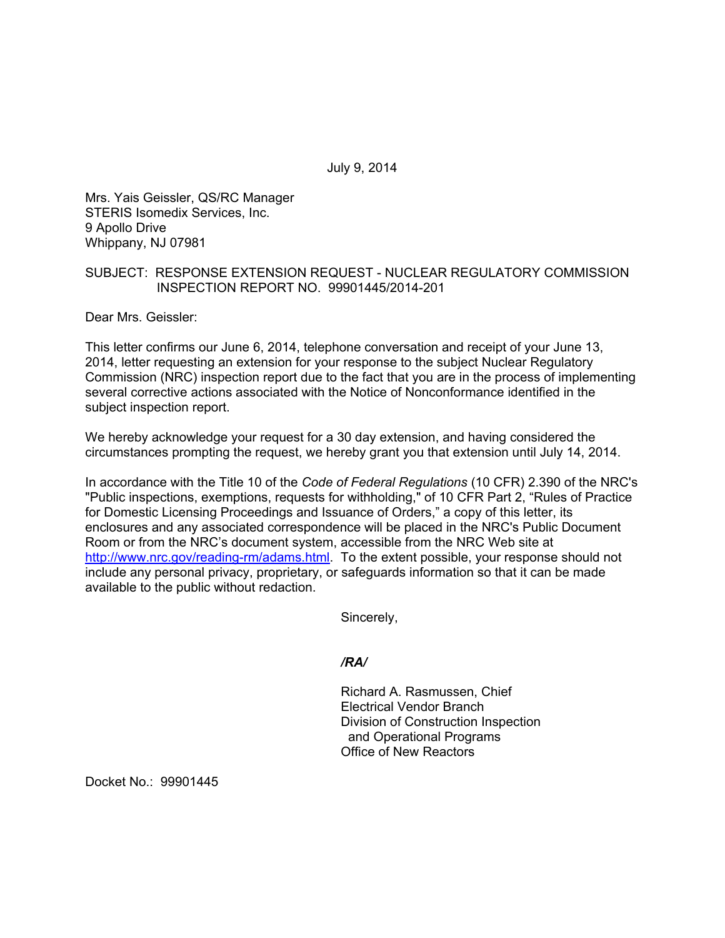July 9, 2014

Mrs. Yais Geissler, QS/RC Manager STERIS Isomedix Services, Inc. 9 Apollo Drive Whippany, NJ 07981

# SUBJECT: RESPONSE EXTENSION REQUEST - NUCLEAR REGULATORY COMMISSION INSPECTION REPORT NO. 99901445/2014-201

Dear Mrs. Geissler:

This letter confirms our June 6, 2014, telephone conversation and receipt of your June 13, 2014, letter requesting an extension for your response to the subject Nuclear Regulatory Commission (NRC) inspection report due to the fact that you are in the process of implementing several corrective actions associated with the Notice of Nonconformance identified in the subject inspection report.

We hereby acknowledge your request for a 30 day extension, and having considered the circumstances prompting the request, we hereby grant you that extension until July 14, 2014.

In accordance with the Title 10 of the *Code of Federal Regulations* (10 CFR) 2.390 of the NRC's "Public inspections, exemptions, requests for withholding," of 10 CFR Part 2, "Rules of Practice for Domestic Licensing Proceedings and Issuance of Orders," a copy of this letter, its enclosures and any associated correspondence will be placed in the NRC's Public Document Room or from the NRC's document system, accessible from the NRC Web site at http://www.nrc.gov/reading-rm/adams.html. To the extent possible, your response should not include any personal privacy, proprietary, or safeguards information so that it can be made available to the public without redaction.

Sincerely,

*/RA/* 

Richard A. Rasmussen, Chief Electrical Vendor Branch Division of Construction Inspection and Operational Programs Office of New Reactors

Docket No.: 99901445